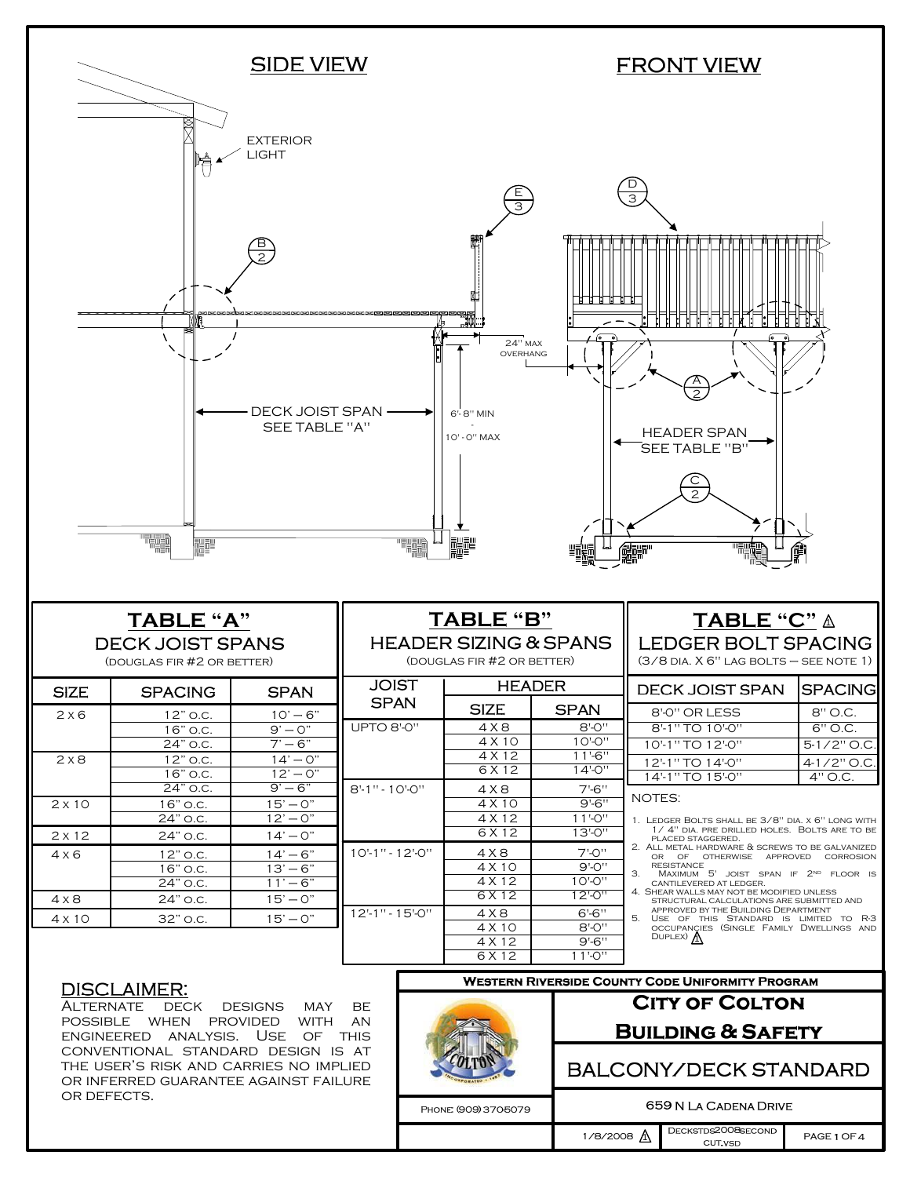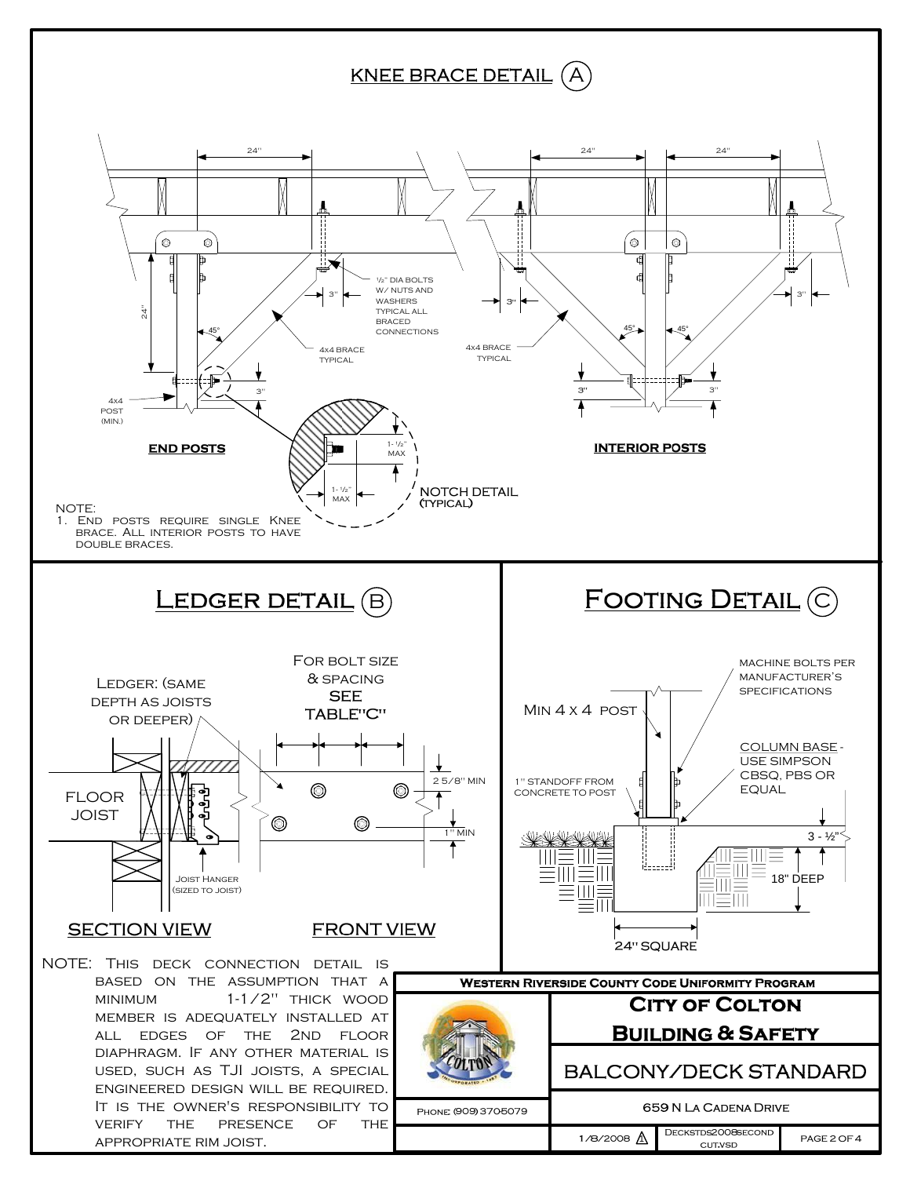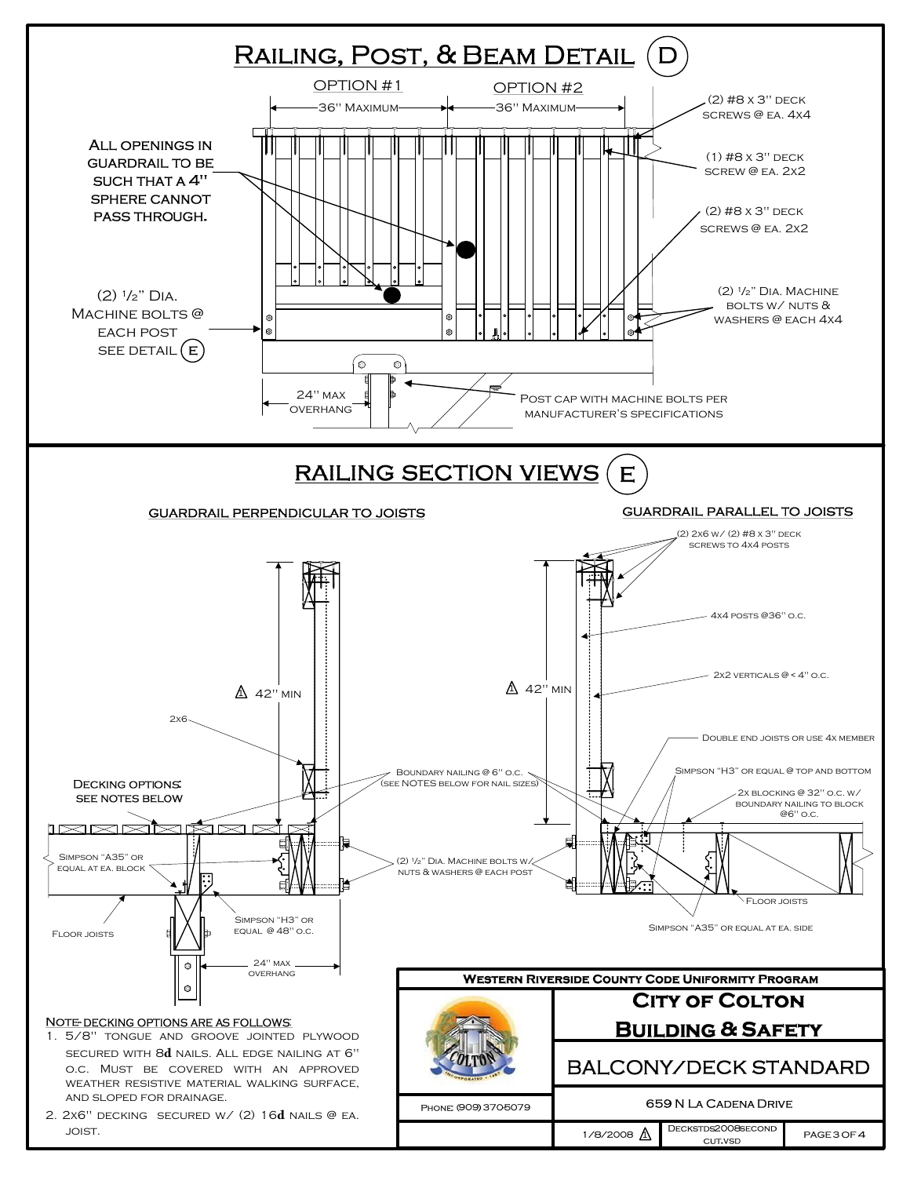